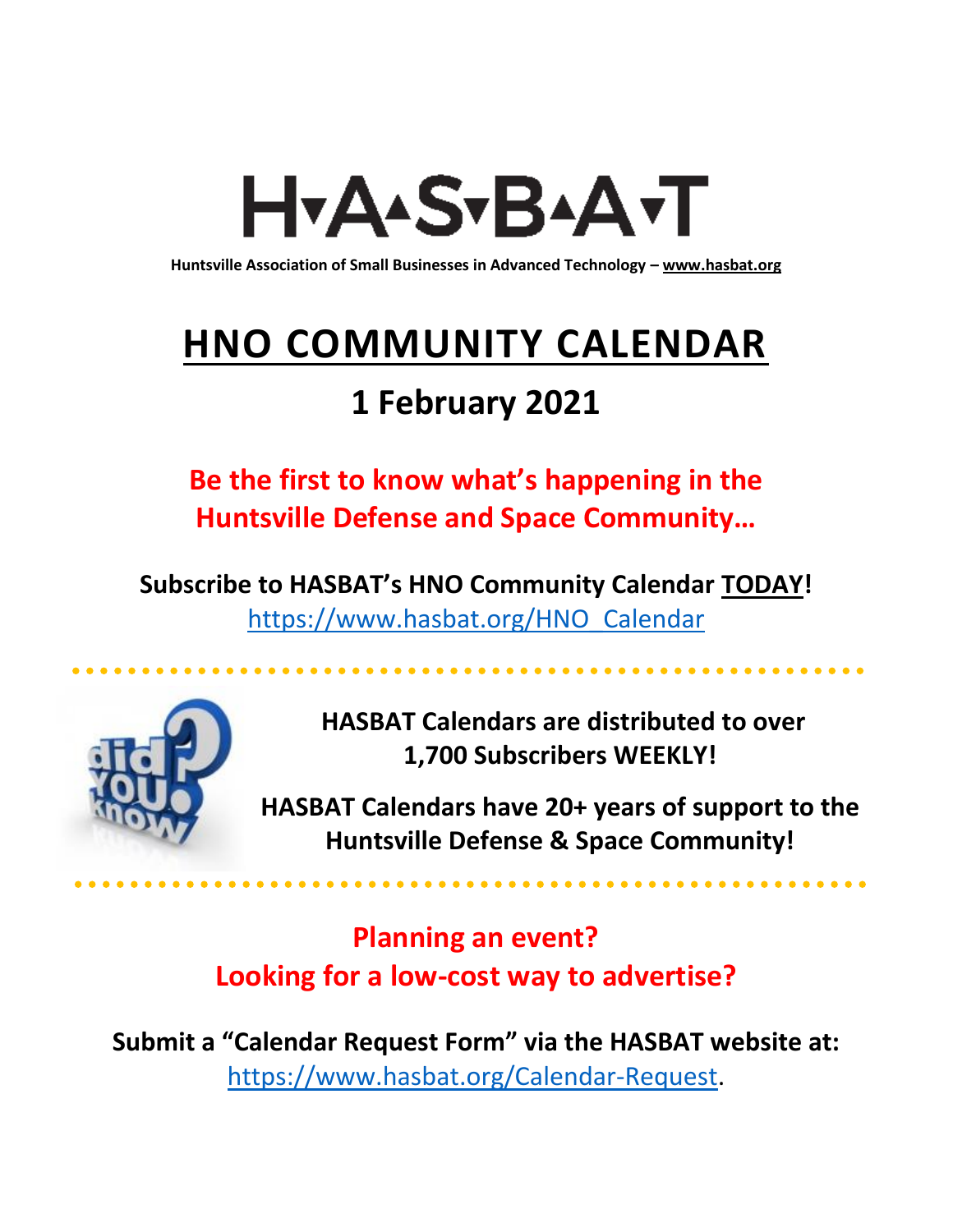# H<sub>Y</sub>AASTBAATT

**Huntsville Association of Small Businesses in Advanced Technology – [www.hasbat.org](http://www.hasbat.org/)**

# **HNO COMMUNITY CALENDAR**

# **1 February 2021**

**Be the first to know what's happening in the Huntsville Defense and Space Community…** 

**Subscribe to HASBAT's HNO Community Calendar TODAY!**  [https://www.hasbat.org/HNO\\_Calendar](https://www.hasbat.org/HNO_Calendar)



**HASBAT Calendars are distributed to over 1,700 Subscribers WEEKLY!**

**HASBAT Calendars have 20+ years of support to the Huntsville Defense & Space Community!** 

**Planning an event? Looking for a low-cost way to advertise?**

**Submit a "Calendar Request Form" via the HASBAT website at:**  [https://www.hasbat.org/Calendar-Request.](https://www.hasbat.org/Calendar-Request)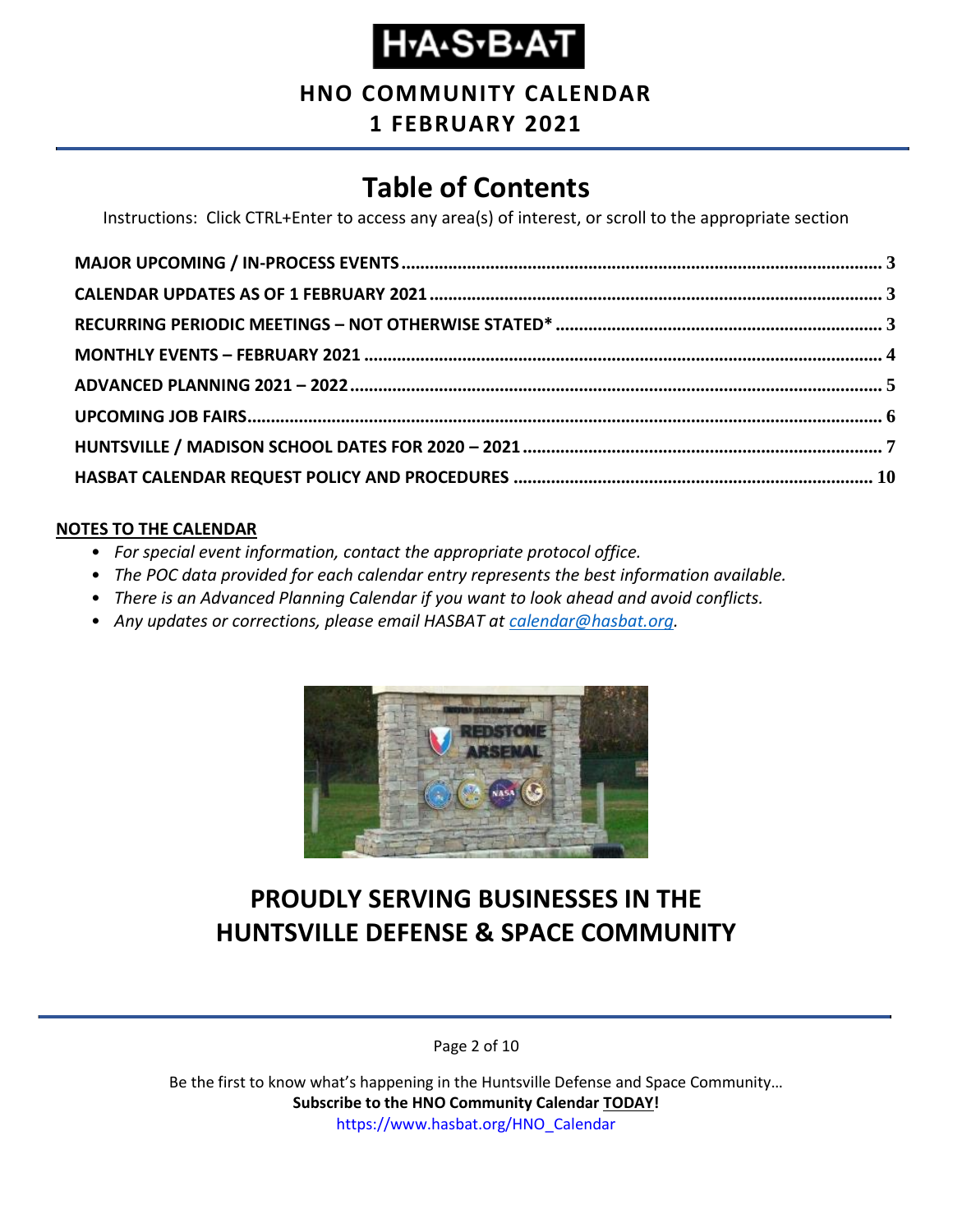# **Н-А-S-В-А-Т**

#### **HNO COMMUNITY CALENDAR**

**1 FEBRUARY 2021**

### **Table of Contents**

Instructions: Click CTRL+Enter to access any area(s) of interest, or scroll to the appropriate section

#### **NOTES TO THE CALENDAR**

- *For special event information, contact the appropriate protocol office.*
- *The POC data provided for each calendar entry represents the best information available.*
- *There is an Advanced Planning Calendar if you want to look ahead and avoid conflicts.*
- *Any updates or corrections, please email HASBAT at [calendar@hasbat.org.](mailto:calendar@hasbat.org)*



#### **PROUDLY SERVING BUSINESSES IN THE HUNTSVILLE DEFENSE & SPACE COMMUNITY**

Page 2 of 10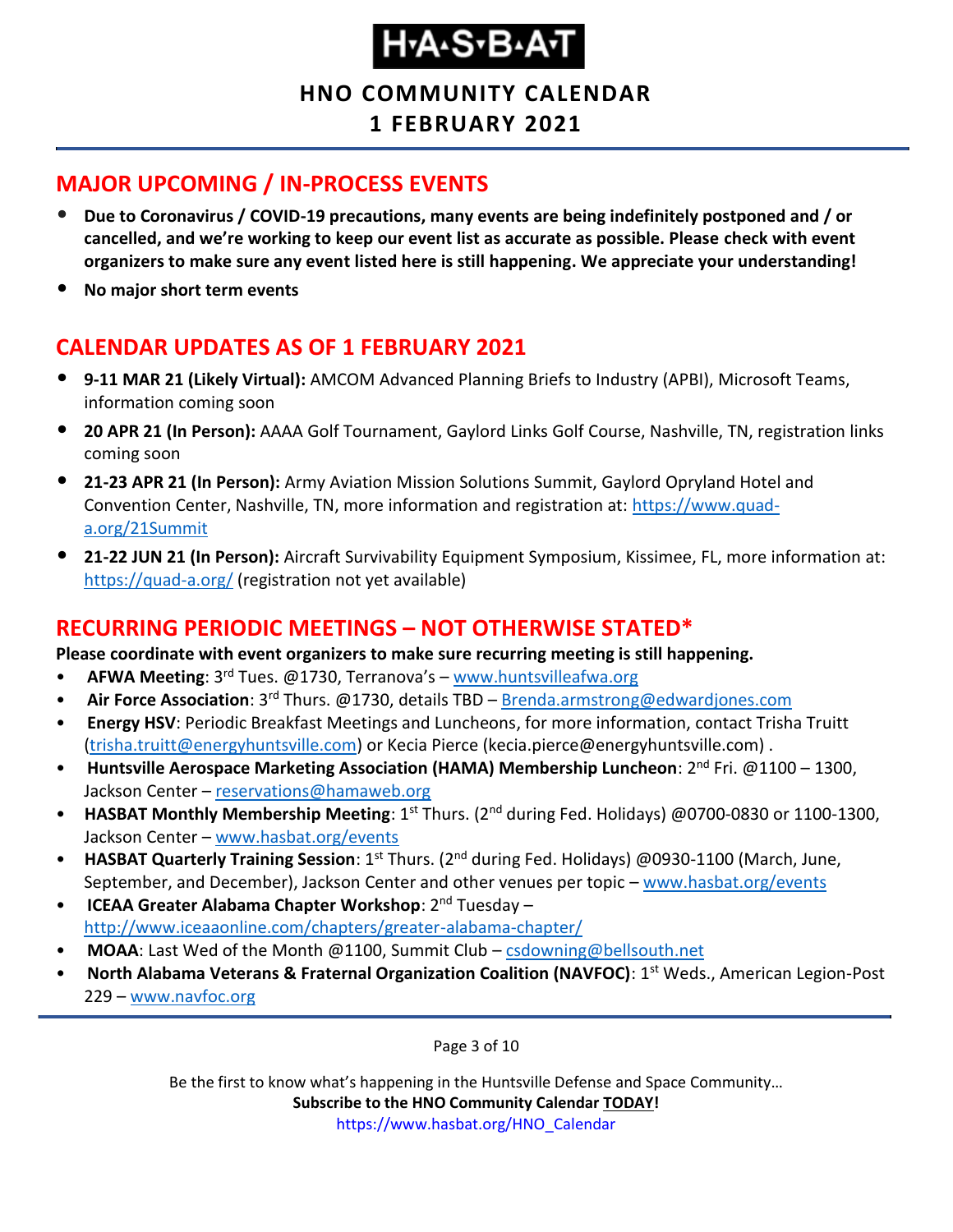**HNO COMMUNITY CALENDAR**

**1 FEBRUARY 2021**

#### <span id="page-2-0"></span>**MAJOR UPCOMING / IN-PROCESS EVENTS**

- **Due to Coronavirus / COVID-19 precautions, many events are being indefinitely postponed and / or cancelled, and we're working to keep our event list as accurate as possible. Please check with event organizers to make sure any event listed here is still happening. We appreciate your understanding!**
- **No major short term events**

#### <span id="page-2-1"></span>**CALENDAR UPDATES AS OF 1 FEBRUARY 2021**

- **9-11 MAR 21 (Likely Virtual):** AMCOM Advanced Planning Briefs to Industry (APBI), Microsoft Teams, information coming soon
- **20 APR 21 (In Person):** AAAA Golf Tournament, Gaylord Links Golf Course, Nashville, TN, registration links coming soon
- **21-23 APR 21 (In Person):** Army Aviation Mission Solutions Summit, Gaylord Opryland Hotel and Convention Center, Nashville, TN, more information and registration at: [https://www.quad](https://www.quad-a.org/21Summit)[a.org/21Summit](https://www.quad-a.org/21Summit)
- **21-22 JUN 21 (In Person):** Aircraft Survivability Equipment Symposium, Kissimee, FL, more information at: <https://quad-a.org/> (registration not yet available)

#### <span id="page-2-2"></span>**RECURRING PERIODIC MEETINGS – NOT OTHERWISE STATED\***

**Please coordinate with event organizers to make sure recurring meeting is still happening.**

- **AFWA Meeting**: 3rd Tues. @1730, Terranova's [www.huntsvilleafwa.org](http://www.huntsvilleafwa.org/)
- **Air Force Association**: 3<sup>rd</sup> Thurs. @1730, details TBD [Brenda.armstrong@edwardjones.com](mailto:Brenda.armstrong@edwardjones.com)
- **Energy HSV**: Periodic Breakfast Meetings and Luncheons, for more information, contact Trisha Truitt [\(trisha.truitt@energyhuntsville.com\)](mailto:trisha.truitt@energyhuntsville.com) or Kecia Pierce (kecia.pierce@energyhuntsville.com) .
- Huntsville Aerospace Marketing Association (HAMA) Membership Luncheon: 2<sup>nd</sup> Fri. @1100 1300, Jackson Center – [reservations@hamaweb.org](mailto:reservations@hamaweb.org)
- **HASBAT Monthly Membership Meeting**: 1<sup>st</sup> Thurs. (2<sup>nd</sup> during Fed. Holidays) @0700-0830 or 1100-1300, Jackson Center – [www.hasbat.org/events](http://www.hasbat.org/events)
- **HASBAT Quarterly Training Session**: 1st Thurs. (2nd during Fed. Holidays) @0930-1100 (March, June, September, and December), Jackson Center and other venues per topic – [www.hasbat.org/events](http://www.hasbat.org/events)
- **ICEAA Greater Alabama Chapter Workshop**: 2nd Tuesday <http://www.iceaaonline.com/chapters/greater-alabama-chapter/>
- **MOAA**: Last Wed of the Month @1100, Summit Club [csdowning@bellsouth.net](mailto:csdowning@bellsouth.net)
- **North Alabama Veterans & Fraternal Organization Coalition (NAVFOC)**: 1st Weds., American Legion-Post 229 – [www.navfoc.org](http://www.navfoc.org/)

Page 3 of 10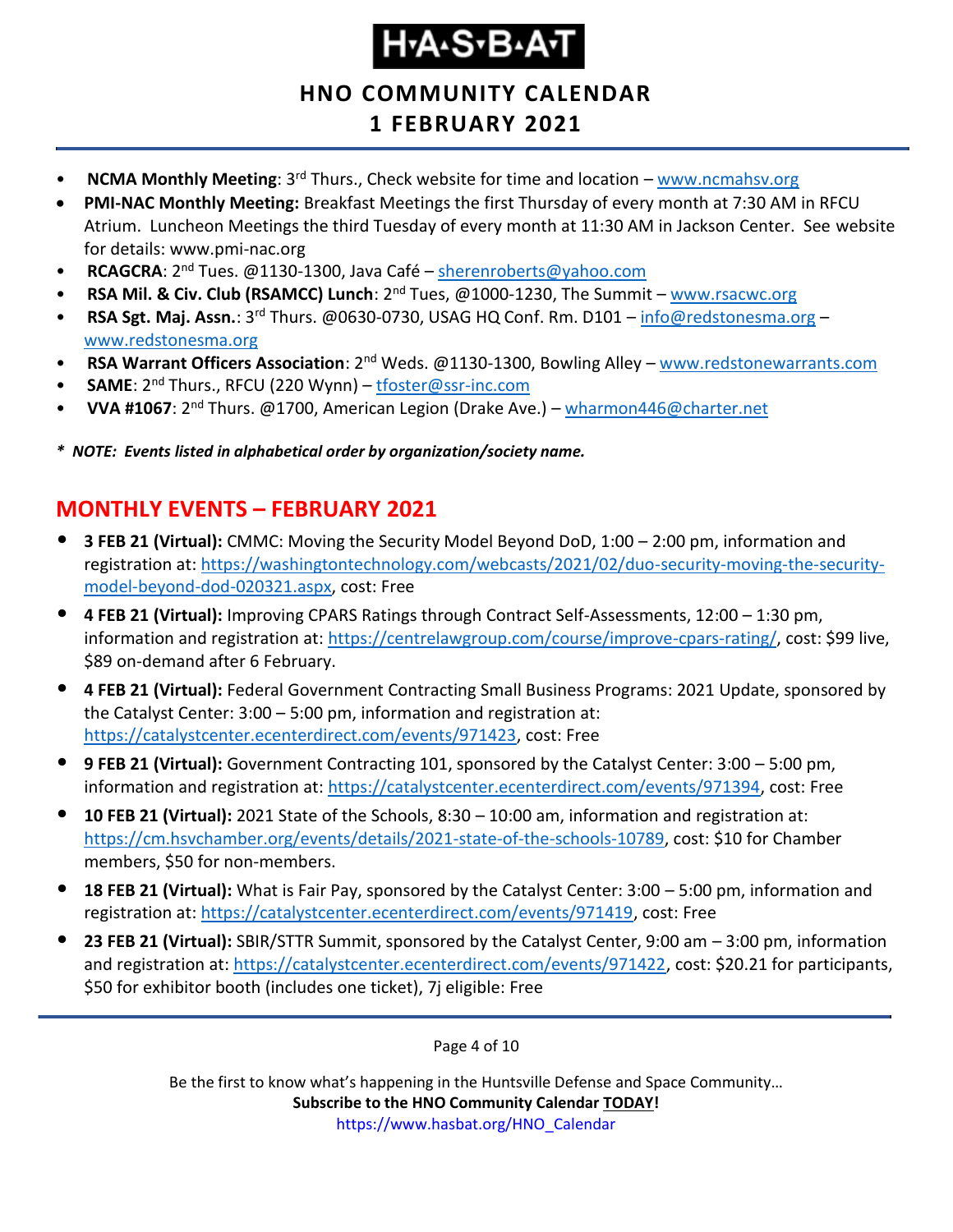**HNO COMMUNITY CALENDAR 1 FEBRUARY 2021**

- **NCMA Monthly Meeting**: 3rd Thurs., Check website for time and location [www.ncmahsv.org](http://www.ncmahsv.org/)
- **PMI-NAC Monthly Meeting:** Breakfast Meetings the first Thursday of every month at 7:30 AM in RFCU Atrium. Luncheon Meetings the third Tuesday of every month at 11:30 AM in Jackson Center. See website for details: www.pmi-nac.org
- **RCAGCRA**: 2nd Tues. @1130-1300, Java Café [sherenroberts@yahoo.com](mailto:sherenroberts@yahoo.com)
- **RSA Mil. & Civ. Club (RSAMCC) Lunch**: 2nd Tues, @1000-1230, The Summit [www.rsacwc.org](http://www.rsacwc.org/)
- **RSA Sgt. Maj. Assn.**: 3rd Thurs. @0630-0730, USAG HQ Conf. Rm. D101 [info@redstonesma.org](mailto:info@redstonesma.org) [www.redstonesma.org](http://www.redstonesma.org/)
- **RSA Warrant Officers Association**: 2nd Weds. @1130-1300, Bowling Alley [www.redstonewarrants.com](http://www.redstonewarrants.com/)
- **SAME**: 2nd Thurs., RFCU (220 Wynn) [tfoster@ssr-inc.com](mailto:tfoster@ssr-inc.com)
- **VVA #1067**: 2nd Thurs. @1700, American Legion (Drake Ave.) [wharmon446@charter.net](mailto:wharmon446@charter.net)

*\* NOTE: Events listed in alphabetical order by organization/society name.*

#### <span id="page-3-0"></span>**MONTHLY EVENTS – FEBRUARY 2021**

- **3 FEB 21 (Virtual):** CMMC: Moving the Security Model Beyond DoD, 1:00 2:00 pm, information and registration at: [https://washingtontechnology.com/webcasts/2021/02/duo-security-moving-the-security](https://washingtontechnology.com/webcasts/2021/02/duo-security-moving-the-security-model-beyond-dod-020321.aspx)[model-beyond-dod-020321.aspx,](https://washingtontechnology.com/webcasts/2021/02/duo-security-moving-the-security-model-beyond-dod-020321.aspx) cost: Free
- **4 FEB 21 (Virtual):** Improving CPARS Ratings through Contract Self-Assessments, 12:00 1:30 pm, information and registration at: [https://centrelawgroup.com/course/improve-cpars-rating/,](https://centrelawgroup.com/course/improve-cpars-rating/) cost: \$99 live, \$89 on-demand after 6 February.
- **4 FEB 21 (Virtual):** Federal Government Contracting Small Business Programs: 2021 Update, sponsored by the Catalyst Center: 3:00 – 5:00 pm, information and registration at: [https://catalystcenter.ecenterdirect.com/events/971423,](https://catalystcenter.ecenterdirect.com/events/971423) cost: Free
- **9 FEB 21 (Virtual):** Government Contracting 101, sponsored by the Catalyst Center: 3:00 5:00 pm, information and registration at: [https://catalystcenter.ecenterdirect.com/events/971394,](https://catalystcenter.ecenterdirect.com/events/971394) cost: Free
- **10 FEB 21 (Virtual):** 2021 State of the Schools, 8:30 10:00 am, information and registration at: [https://cm.hsvchamber.org/events/details/2021-state-of-the-schools-10789,](https://cm.hsvchamber.org/events/details/2021-state-of-the-schools-10789) cost: \$10 for Chamber members, \$50 for non-members.
- **18 FEB 21 (Virtual):** What is Fair Pay, sponsored by the Catalyst Center: 3:00 5:00 pm, information and registration at: [https://catalystcenter.ecenterdirect.com/events/971419,](https://catalystcenter.ecenterdirect.com/events/971419) cost: Free
- **23 FEB 21 (Virtual):** SBIR/STTR Summit, sponsored by the Catalyst Center, 9:00 am 3:00 pm, information and registration at: [https://catalystcenter.ecenterdirect.com/events/971422,](https://catalystcenter.ecenterdirect.com/events/971422) cost: \$20.21 for participants, \$50 for exhibitor booth (includes one ticket), 7j eligible: Free

Page 4 of 10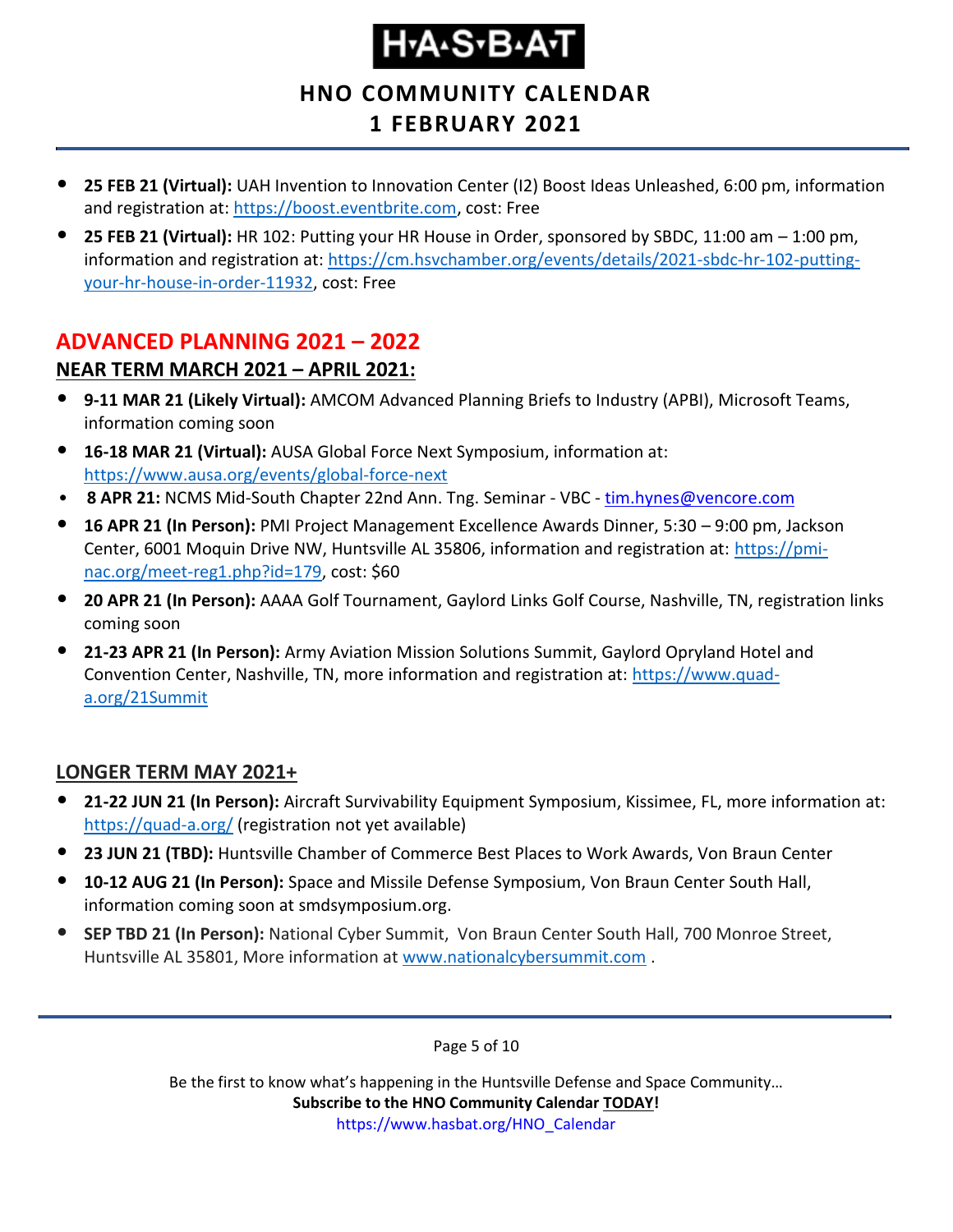#### **HNO COMMUNITY CALENDAR 1 FEBRUARY 2021**

- **25 FEB 21 (Virtual):** UAH Invention to Innovation Center (I2) Boost Ideas Unleashed, 6:00 pm, information and registration at: [https://boost.eventbrite.com,](https://boost.eventbrite.com/) cost: Free
- **25 FEB 21 (Virtual):** HR 102: Putting your HR House in Order, sponsored by SBDC, 11:00 am 1:00 pm, information and registration at: [https://cm.hsvchamber.org/events/details/2021-sbdc-hr-102-putting](https://cm.hsvchamber.org/events/details/2021-sbdc-hr-102-putting-your-hr-house-in-order-11932)[your-hr-house-in-order-11932,](https://cm.hsvchamber.org/events/details/2021-sbdc-hr-102-putting-your-hr-house-in-order-11932) cost: Free

#### <span id="page-4-0"></span>**ADVANCED PLANNING 2021 – 2022**

#### **NEAR TERM MARCH 2021 – APRIL 2021:**

- **9-11 MAR 21 (Likely Virtual):** AMCOM Advanced Planning Briefs to Industry (APBI), Microsoft Teams, information coming soon
- **16-18 MAR 21 (Virtual):** AUSA Global Force Next Symposium, information at: <https://www.ausa.org/events/global-force-next>
- **8 APR 21:** NCMS Mid-South Chapter 22nd Ann. Tng. Seminar VBC [tim.hynes@vencore.com](mailto:tim.hynes@vencore.com)
- **16 APR 21 (In Person):** PMI Project Management Excellence Awards Dinner, 5:30 9:00 pm, Jackson Center, 6001 Moquin Drive NW, Huntsville AL 35806, information and registration at: [https://pmi](https://pmi-nac.org/meet-reg1.php?id=179)[nac.org/meet-reg1.php?id=179,](https://pmi-nac.org/meet-reg1.php?id=179) cost: \$60
- **20 APR 21 (In Person):** AAAA Golf Tournament, Gaylord Links Golf Course, Nashville, TN, registration links coming soon
- **21-23 APR 21 (In Person):** Army Aviation Mission Solutions Summit, Gaylord Opryland Hotel and Convention Center, Nashville, TN, more information and registration at: [https://www.quad](https://www.quad-a.org/21Summit)[a.org/21Summit](https://www.quad-a.org/21Summit)

#### **LONGER TERM MAY 2021+**

- **21-22 JUN 21 (In Person):** Aircraft Survivability Equipment Symposium, Kissimee, FL, more information at: <https://quad-a.org/> (registration not yet available)
- **23 JUN 21 (TBD):** Huntsville Chamber of Commerce Best Places to Work Awards, Von Braun Center
- **10-12 AUG 21 (In Person):** Space and Missile Defense Symposium, Von Braun Center South Hall, information coming soon at smdsymposium.org.
- **SEP TBD 21 (In Person):** National Cyber Summit, Von Braun Center South Hall, 700 Monroe Street, Huntsville AL 35801, More information at [www.nationalcybersummit.com](http://www.nationalcybersummit.com/) .

Page 5 of 10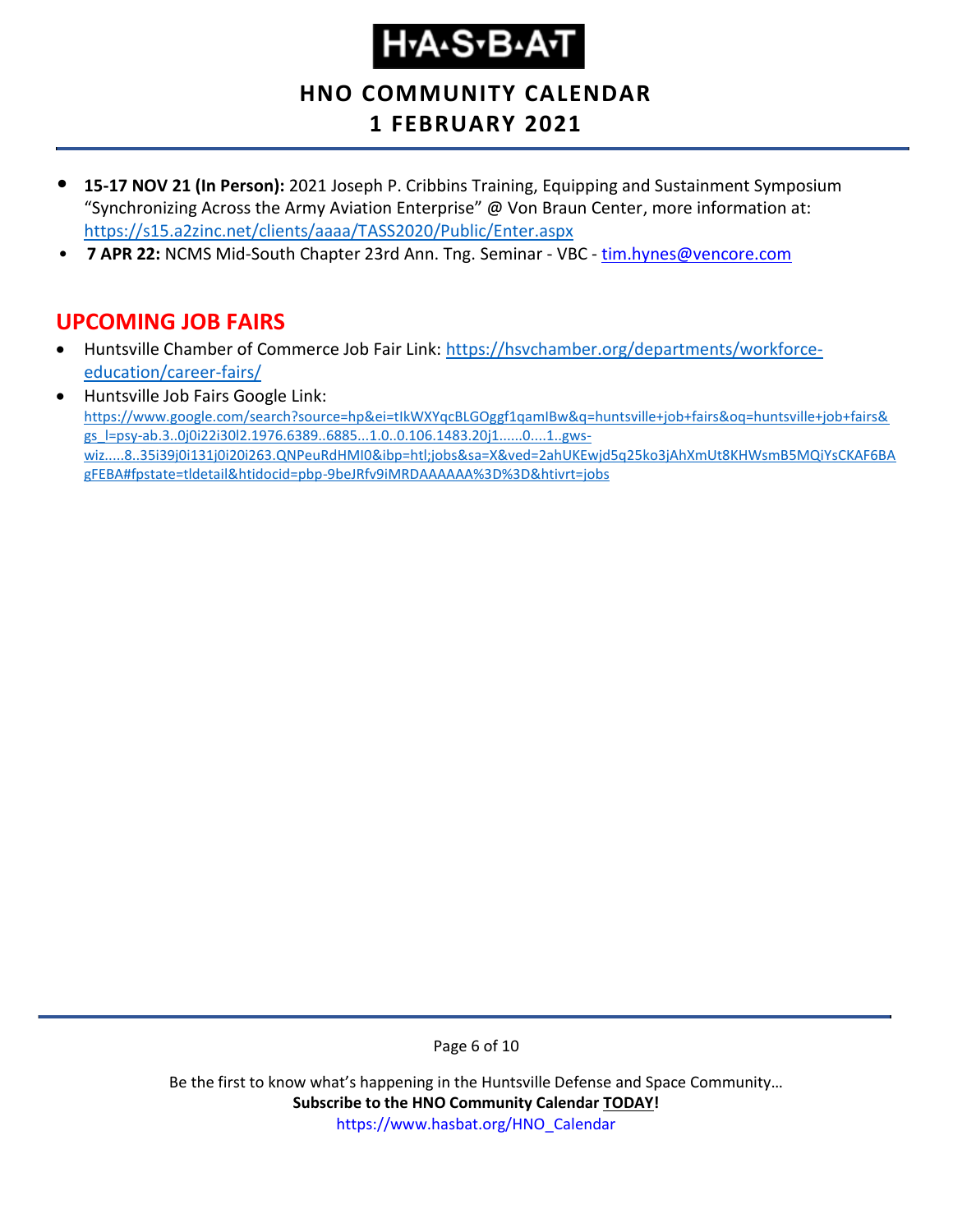**HNO COMMUNITY CALENDAR**

#### **1 FEBRUARY 2021**

- **15-17 NOV 21 (In Person):** 2021 Joseph P. Cribbins Training, Equipping and Sustainment Symposium "Synchronizing Across the Army Aviation Enterprise" @ Von Braun Center, more information at: <https://s15.a2zinc.net/clients/aaaa/TASS2020/Public/Enter.aspx>
- **7 APR 22: NCMS Mid-South Chapter 23rd Ann. Tng. Seminar VBC [tim.hynes@vencore.com](mailto:tim.hynes@vencore.com)**

#### <span id="page-5-0"></span>**UPCOMING JOB FAIRS**

- Huntsville Chamber of Commerce Job Fair Link: [https://hsvchamber.org/departments/workforce](https://hsvchamber.org/departments/workforce-education/career-fairs/)[education/career-fairs/](https://hsvchamber.org/departments/workforce-education/career-fairs/)
- Huntsville Job Fairs Google Link: [https://www.google.com/search?source=hp&ei=tIkWXYqcBLGOggf1qamIBw&q=huntsville+job+fairs&oq=huntsville+job+fairs&](https://www.google.com/search?source=hp&ei=tIkWXYqcBLGOggf1qamIBw&q=huntsville+job+fairs&oq=huntsville+job+fairs&gs_l=psy-ab.3..0j0i22i30l2.1976.6389..6885...1.0..0.106.1483.20j1......0....1..gws-wiz.....8..35i39j0i131j0i20i263.QNPeuRdHMI0&ibp=htl;jobs&sa=X&ved=2ahUKEwjd5q25ko3jAhXmUt8KHWsmB5MQiYsCKAF6BAgFEBA#fpstate=tldetail&htidocid=pbp-9beJRfv9iMRDAAAAAA%3D%3D&htivrt=jobs) [gs\\_l=psy-ab.3..0j0i22i30l2.1976.6389..6885...1.0..0.106.1483.20j1......0....1..gws](https://www.google.com/search?source=hp&ei=tIkWXYqcBLGOggf1qamIBw&q=huntsville+job+fairs&oq=huntsville+job+fairs&gs_l=psy-ab.3..0j0i22i30l2.1976.6389..6885...1.0..0.106.1483.20j1......0....1..gws-wiz.....8..35i39j0i131j0i20i263.QNPeuRdHMI0&ibp=htl;jobs&sa=X&ved=2ahUKEwjd5q25ko3jAhXmUt8KHWsmB5MQiYsCKAF6BAgFEBA#fpstate=tldetail&htidocid=pbp-9beJRfv9iMRDAAAAAA%3D%3D&htivrt=jobs)[wiz.....8..35i39j0i131j0i20i263.QNPeuRdHMI0&ibp=htl;jobs&sa=X&ved=2ahUKEwjd5q25ko3jAhXmUt8KHWsmB5MQiYsCKAF6BA](https://www.google.com/search?source=hp&ei=tIkWXYqcBLGOggf1qamIBw&q=huntsville+job+fairs&oq=huntsville+job+fairs&gs_l=psy-ab.3..0j0i22i30l2.1976.6389..6885...1.0..0.106.1483.20j1......0....1..gws-wiz.....8..35i39j0i131j0i20i263.QNPeuRdHMI0&ibp=htl;jobs&sa=X&ved=2ahUKEwjd5q25ko3jAhXmUt8KHWsmB5MQiYsCKAF6BAgFEBA#fpstate=tldetail&htidocid=pbp-9beJRfv9iMRDAAAAAA%3D%3D&htivrt=jobs) [gFEBA#fpstate=tldetail&htidocid=pbp-9beJRfv9iMRDAAAAAA%3D%3D&htivrt=jobs](https://www.google.com/search?source=hp&ei=tIkWXYqcBLGOggf1qamIBw&q=huntsville+job+fairs&oq=huntsville+job+fairs&gs_l=psy-ab.3..0j0i22i30l2.1976.6389..6885...1.0..0.106.1483.20j1......0....1..gws-wiz.....8..35i39j0i131j0i20i263.QNPeuRdHMI0&ibp=htl;jobs&sa=X&ved=2ahUKEwjd5q25ko3jAhXmUt8KHWsmB5MQiYsCKAF6BAgFEBA#fpstate=tldetail&htidocid=pbp-9beJRfv9iMRDAAAAAA%3D%3D&htivrt=jobs)

Page 6 of 10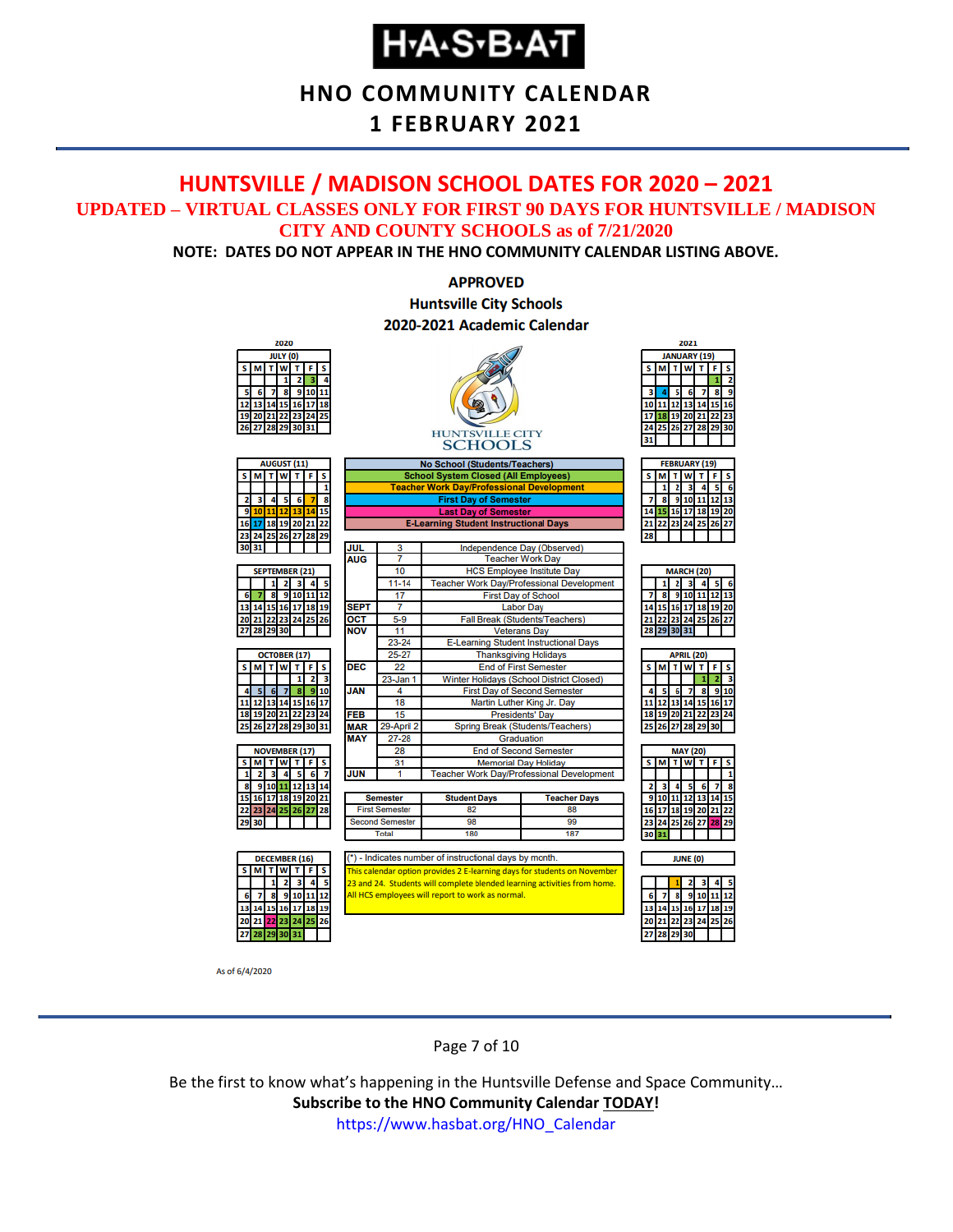#### **HNO COMMUNITY CALENDAR**

#### **1 FEBRUARY 2021**

#### <span id="page-6-0"></span>**HUNTSVILLE / MADISON SCHOOL DATES FOR 2020 – 2021 UPDATED – VIRTUAL CLASSES ONLY FOR FIRST 90 DAYS FOR HUNTSVILLE / MADISON CITY AND COUNTY SCHOOLS as of 7/21/2020**

**NOTE: DATES DO NOT APPEAR IN THE HNO COMMUNITY CALENDAR LISTING ABOVE.**

#### **APPROVED Huntsville City Schools** 2020-2021 Academic Calendar



As of 6/4/2020

Page 7 of 10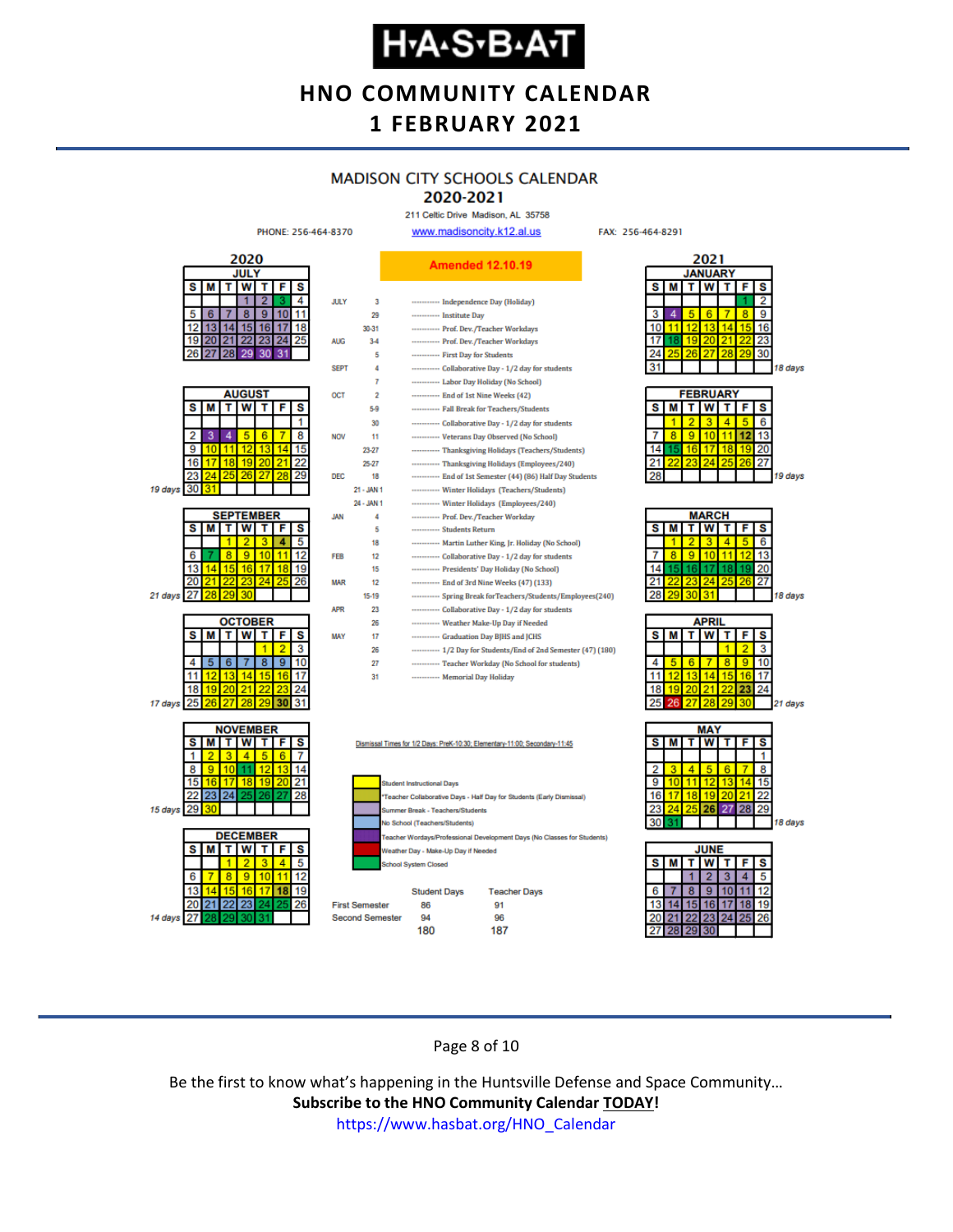#### **HNO COMMUNITY CALENDAR 1 FEBRUARY 2021**

#### **MADISON CITY SCHOOLS CALENDAR**

2020-2021 211 Celtic Drive Madison, AL 35758

FAX: 256-464-8291



Page 8 of 10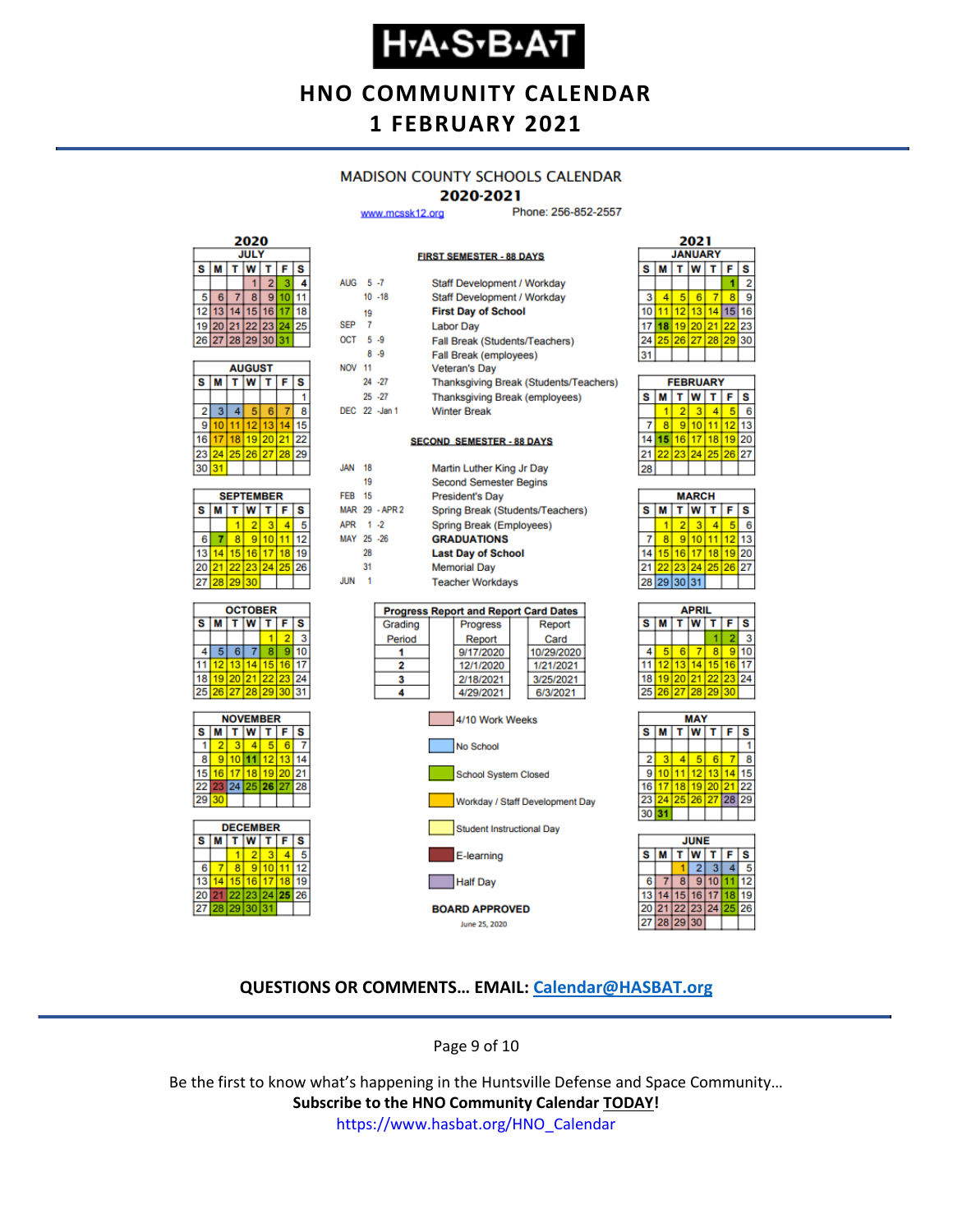#### **HNO COMMUNITY CALENDAR 1 FEBRUARY 2021**

#### **MADISON COUNTY SCHOOLS CALENDAR**

#### 2020-2021

**FIRST SEMESTER - 88 DAYS** 

Staff Development / Workday

www.mcssk12.org

ALIC:  $5.7$ 

Phone: 256-852-2557



| <b>AUGUST</b> |    |    |                   |    |    |    |  |  |
|---------------|----|----|-------------------|----|----|----|--|--|
| s             | М  | S  |                   |    |    |    |  |  |
|               |    |    |                   |    |    |    |  |  |
| 2             | з  |    | 5                 | 6  |    | 8  |  |  |
| 9             | 10 |    | $12 \overline{ }$ | 13 |    |    |  |  |
| 16            | 17 | 18 | 19 20             |    | 21 | 22 |  |  |
| 23            | 24 |    | 25 26 27          |    | 28 | 29 |  |  |
| 30            | 31 |    |                   |    |    |    |  |  |

|    | <b>SEPTEMBER</b>        |    |          |    |    |    |  |  |  |
|----|-------------------------|----|----------|----|----|----|--|--|--|
| s  | т<br>T W<br>F<br>s<br>М |    |          |    |    |    |  |  |  |
|    |                         |    | 2        | ٩  |    |    |  |  |  |
| 6  |                         | \$ | 9        | 10 |    | 12 |  |  |  |
| 13 | 4                       |    | 15 16    | 17 | 18 |    |  |  |  |
| 20 | 211                     |    | 22 23 24 |    | 25 | 26 |  |  |  |
| 27 | 28                      | 29 | 30       |    |    |    |  |  |  |







|               |    |                |                                    | <b>Stail Development</b> workday             |  |        |  |  |
|---------------|----|----------------|------------------------------------|----------------------------------------------|--|--------|--|--|
|               |    | $10 - 18$      | <b>Staff Development / Workday</b> |                                              |  |        |  |  |
|               | 19 |                |                                    | <b>First Day of School</b>                   |  |        |  |  |
| <b>SEP</b>    | 7  |                |                                    | <b>Labor Day</b>                             |  |        |  |  |
| $OCT = 5 - 9$ |    |                |                                    | Fall Break (Students/Teachers)               |  |        |  |  |
|               |    | $8 - 9$        |                                    | Fall Break (employees)                       |  |        |  |  |
| <b>NOV 11</b> |    |                |                                    | <b>Veteran's Day</b>                         |  |        |  |  |
|               |    | $24 - 27$      |                                    | Thanksgiving Break (Students/Teachers)       |  |        |  |  |
|               |    | $25 - 27$      |                                    | <b>Thanksgiving Break (employees)</b>        |  |        |  |  |
|               |    | DEC 22 -Jan 1  |                                    | <b>Winter Break</b>                          |  |        |  |  |
|               |    |                |                                    | <b>SECOND SEMESTER - 88 DAYS</b>             |  |        |  |  |
|               |    |                |                                    |                                              |  |        |  |  |
| <b>JAN</b>    | 18 |                |                                    | Martin Luther King Jr Day                    |  |        |  |  |
|               | 19 |                |                                    | <b>Second Semester Begins</b>                |  |        |  |  |
| <b>FEB</b>    | 15 |                |                                    | <b>President's Day</b>                       |  |        |  |  |
|               |    | MAR 29 - APR 2 |                                    | Spring Break (Students/Teachers)             |  |        |  |  |
| APR 1 -2      |    |                | Spring Break (Employees)           |                                              |  |        |  |  |
| MAY 25 -26    |    |                |                                    | <b>GRADUATIONS</b>                           |  |        |  |  |
|               | 28 |                |                                    | <b>Last Day of School</b>                    |  |        |  |  |
|               | 31 |                |                                    | <b>Memorial Day</b>                          |  |        |  |  |
| <b>JUN</b>    | 1  |                |                                    | <b>Teacher Workdays</b>                      |  |        |  |  |
|               |    |                |                                    |                                              |  |        |  |  |
|               |    |                |                                    | <b>Progress Report and Report Card Dates</b> |  |        |  |  |
|               |    | Grading        |                                    | Progress                                     |  | Report |  |  |
|               |    | Period         |                                    | Renort                                       |  | Card   |  |  |

| renuu           |  | <b>INGDOIT</b> |  | $\mathbf{u}$ |  |  |  |  |  |
|-----------------|--|----------------|--|--------------|--|--|--|--|--|
|                 |  | 9/17/2020      |  | 10/29/2020   |  |  |  |  |  |
| 2               |  | 12/1/2020      |  | 1/21/2021    |  |  |  |  |  |
|                 |  | 2/18/2021      |  | 3/25/2021    |  |  |  |  |  |
|                 |  | 4/29/2021      |  | 6/3/2021     |  |  |  |  |  |
| 4/10 Work Weeks |  |                |  |              |  |  |  |  |  |
| No School       |  |                |  |              |  |  |  |  |  |





June 25, 2020



| <b>FEBRUARY</b> |   |   |                                          |  |   |    |  |  |
|-----------------|---|---|------------------------------------------|--|---|----|--|--|
| s               | М |   | $T$ $W$ $T$                              |  | F | s  |  |  |
|                 |   | 2 | з                                        |  |   | ĥ  |  |  |
|                 | R |   | 9110111112                               |  |   | 13 |  |  |
| 14              |   |   | 15 16 17 18 19 20                        |  |   |    |  |  |
| 21              |   |   | <mark>22   23   24   25   26  </mark> 27 |  |   |    |  |  |
|                 |   |   |                                          |  |   |    |  |  |

| <b>MARCH</b> |                            |    |    |    |    |    |  |  |
|--------------|----------------------------|----|----|----|----|----|--|--|
| s            | W<br>M<br>F<br>S<br>т<br>т |    |    |    |    |    |  |  |
|              |                            | 2  |    |    |    | 6  |  |  |
|              | 8                          | 9  | 10 |    | 12 |    |  |  |
| 14           | 15                         | 16 | 17 | 18 | 19 | 20 |  |  |
| 21           | 22 <sub>1</sub>            | 23 | 24 | 25 | 26 | 27 |  |  |
|              | 28 29 30 31                |    |    |    |    |    |  |  |
|              |                            |    |    |    |    |    |  |  |

| APRIL        |    |       |          |    |    |    |  |  |
|--------------|----|-------|----------|----|----|----|--|--|
| $\mathbf{s}$ | М  |       | W        | т  | F  | S  |  |  |
|              |    |       |          |    |    | 3  |  |  |
| 4            | 5  | 6     |          | 8  | ğ  | 10 |  |  |
| 11           | 12 | 13    | 14       | 15 | 16 | 17 |  |  |
| 18           |    |       | 19 20 21 | 22 | 23 | 24 |  |  |
| 25           | 26 | 27 28 |          | 29 | 30 |    |  |  |
|              |    |       |          |    |    |    |  |  |





#### **QUESTIONS OR COMMENTS… EMAIL: [Calendar@HASBAT.org](mailto:calendar@hasbat.org)**

Page 9 of 10